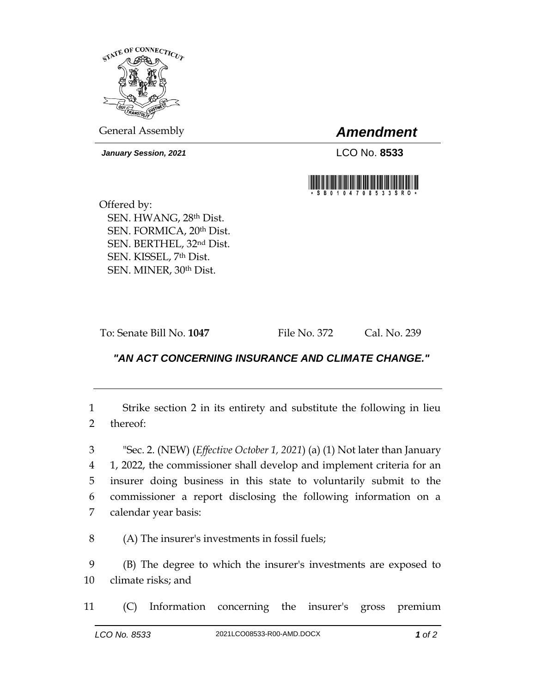

*January Session, 2021* LCO No. **8533**

General Assembly *Amendment*



Offered by: SEN. HWANG, 28th Dist. SEN. FORMICA, 20th Dist. SEN. BERTHEL, 32nd Dist. SEN. KISSEL, 7th Dist. SEN. MINER, 30th Dist.

To: Senate Bill No. **1047** File No. 372 Cal. No. 239

## *"AN ACT CONCERNING INSURANCE AND CLIMATE CHANGE."*

1 Strike section 2 in its entirety and substitute the following in lieu 2 thereof:

 "Sec. 2. (NEW) (*Effective October 1, 2021*) (a) (1) Not later than January 1, 2022, the commissioner shall develop and implement criteria for an insurer doing business in this state to voluntarily submit to the commissioner a report disclosing the following information on a calendar year basis:

8 (A) The insurer's investments in fossil fuels;

9 (B) The degree to which the insurer's investments are exposed to 10 climate risks; and

11 (C) Information concerning the insurer's gross premium